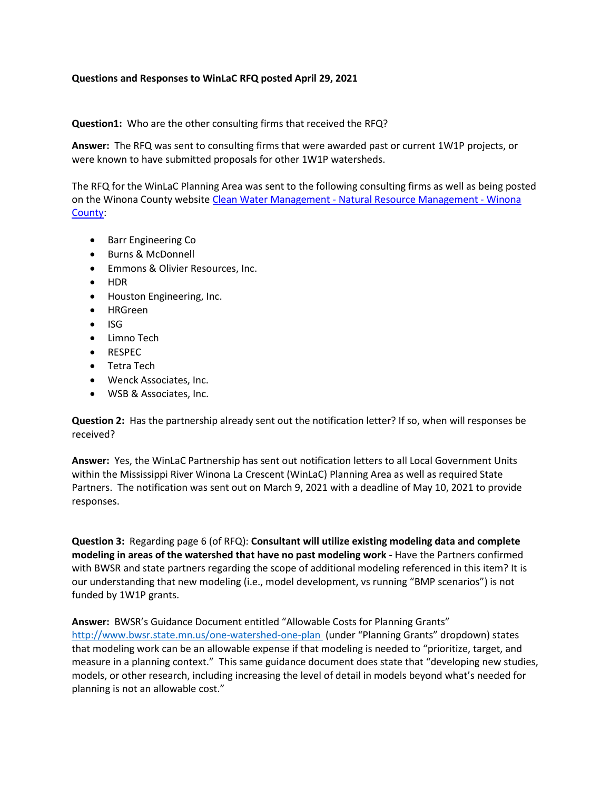## **Questions and Responses to WinLaC RFQ posted April 29, 2021**

**Question1:** Who are the other consulting firms that received the RFQ?

**Answer:** The RFQ was sent to consulting firms that were awarded past or current 1W1P projects, or were known to have submitted proposals for other 1W1P watersheds.

The RFQ for the WinLaC Planning Area was sent to the following consulting firms as well as being posted on the Winona County website Clean Water Management - [Natural Resource Management -](https://www.co.winona.mn.us/page/2851) Winona [County:](https://www.co.winona.mn.us/page/2851)

- Barr Engineering Co
- Burns & McDonnell
- Emmons & Olivier Resources, Inc.
- HDR
- Houston Engineering, Inc.
- HRGreen
- $\bullet$  ISG
- Limno Tech
- RESPEC
- Tetra Tech
- Wenck Associates, Inc.
- WSB & Associates, Inc.

**Question 2:** Has the partnership already sent out the notification letter? If so, when will responses be received?

**Answer:** Yes, the WinLaC Partnership has sent out notification letters to all Local Government Units within the Mississippi River Winona La Crescent (WinLaC) Planning Area as well as required State Partners. The notification was sent out on March 9, 2021 with a deadline of May 10, 2021 to provide responses.

**Question 3:** Regarding page 6 (of RFQ): **Consultant will utilize existing modeling data and complete modeling in areas of the watershed that have no past modeling work -** Have the Partners confirmed with BWSR and state partners regarding the scope of additional modeling referenced in this item? It is our understanding that new modeling (i.e., model development, vs running "BMP scenarios") is not funded by 1W1P grants.

**Answer:** BWSR's Guidance Document entitled "Allowable Costs for Planning Grants" <http://www.bwsr.state.mn.us/one-watershed-one-plan> (under "Planning Grants" dropdown) states that modeling work can be an allowable expense if that modeling is needed to "prioritize, target, and measure in a planning context." This same guidance document does state that "developing new studies, models, or other research, including increasing the level of detail in models beyond what's needed for planning is not an allowable cost."